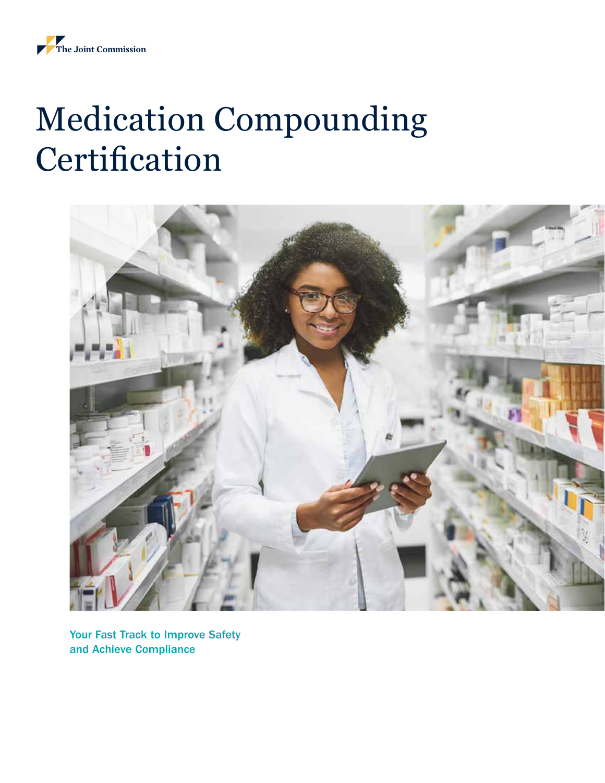# Medication Compounding **Certification**



Your Fast Track to Improve Safety and Achieve Compliance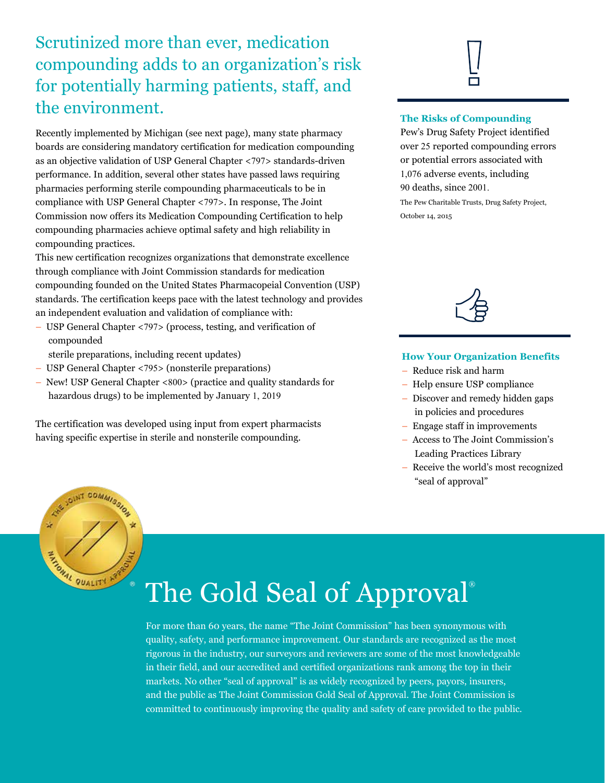## Scrutinized more than ever, medication compounding adds to an organization's risk for potentially harming patients, staff, and the environment.

Recently implemented by Michigan (see next page), many state pharmacy boards are considering mandatory certification for medication compounding as an objective validation of USP General Chapter <797> standards-driven performance. In addition, several other states have passed laws requiring pharmacies performing sterile compounding pharmaceuticals to be in compliance with USP General Chapter <797>. In response, The Joint Commission now offers its Medication Compounding Certification to help compounding pharmacies achieve optimal safety and high reliability in compounding practices.

This new certification recognizes organizations that demonstrate excellence through compliance with Joint Commission standards for medication compounding founded on the United States Pharmacopeial Convention (USP) standards. The certification keeps pace with the latest technology and provides an independent evaluation and validation of compliance with:

- USP General Chapter <797> (process, testing, and verification of compounded
	- sterile preparations, including recent updates)
- USP General Chapter <795> (nonsterile preparations)
- New! USP General Chapter <800> (practice and quality standards for hazardous drugs) to be implemented by January 1, 2019

The certification was developed using input from expert pharmacists having specific expertise in sterile and nonsterile compounding.

#### **The Risks of Compounding**

Pew's Drug Safety Project identified over 25 reported compounding errors or potential errors associated with 1,076 adverse events, including 90 deaths, since 2001.

The Pew Charitable Trusts, Drug Safety Project, October 14, 2015



#### **How Your Organization Benefits**

- Reduce risk and harm
- Help ensure USP compliance
- Discover and remedy hidden gaps in policies and procedures
- Engage staff in improvements
- Access to The Joint Commission's Leading Practices Library
- Receive the world's most recognized "seal of approval"



## The Gold Seal of Approval<sup>®</sup>

For more than 60 years, the name "The Joint Commission" has been synonymous with quality, safety, and performance improvement. Our standards are recognized as the most rigorous in the industry, our surveyors and reviewers are some of the most knowledgeable in their field, and our accredited and certified organizations rank among the top in their markets. No other "seal of approval" is as widely recognized by peers, payors, insurers, and the public as The Joint Commission Gold Seal of Approval. The Joint Commission is committed to continuously improving the quality and safety of care provided to the public.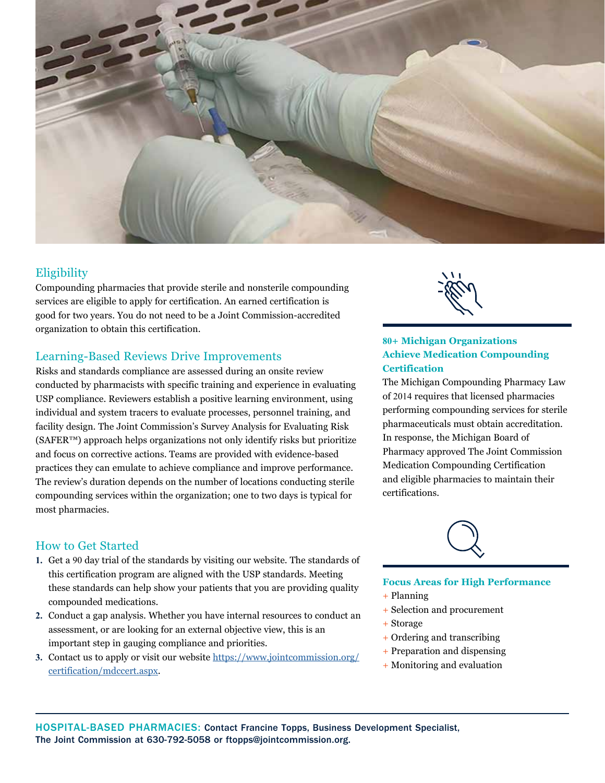

### Eligibility

Compounding pharmacies that provide sterile and nonsterile compounding services are eligible to apply for certification. An earned certification is good for two years. You do not need to be a Joint Commission-accredited organization to obtain this certification.

#### Learning-Based Reviews Drive Improvements

Risks and standards compliance are assessed during an onsite review conducted by pharmacists with specific training and experience in evaluating USP compliance. Reviewers establish a positive learning environment, using individual and system tracers to evaluate processes, personnel training, and facility design. The Joint Commission's Survey Analysis for Evaluating Risk (SAFER™) approach helps organizations not only identify risks but prioritize and focus on corrective actions. Teams are provided with evidence-based practices they can emulate to achieve compliance and improve performance. The review's duration depends on the number of locations conducting sterile compounding services within the organization; one to two days is typical for most pharmacies.



#### **80+ Michigan Organizations Achieve Medication Compounding Certification**

The Michigan Compounding Pharmacy Law of 2014 requires that licensed pharmacies performing compounding services for sterile pharmaceuticals must obtain accreditation. In response, the Michigan Board of Pharmacy approved The Joint Commission Medication Compounding Certification and eligible pharmacies to maintain their certifications.

#### How to Get Started

- **1.** Get a 90 day trial of the standards by visiting our website. The standards of this certification program are aligned with the USP standards. Meeting these standards can help show your patients that you are providing quality compounded medications.
- **2.** Conduct a gap analysis. Whether you have internal resources to conduct an assessment, or are looking for an external objective view, this is an important step in gauging compliance and priorities.
- **3.** Contact us to apply or visit our website [https://www.jointcommission.org/](https://www.jointcommission.org/certification/mdccert.aspx) [certification/mdccert.aspx.](https://www.jointcommission.org/certification/mdccert.aspx)

### **Focus Areas for High Performance**

- + Planning
- + Selection and procurement
- + Storage
- + Ordering and transcribing
- + Preparation and dispensing
- + Monitoring and evaluation